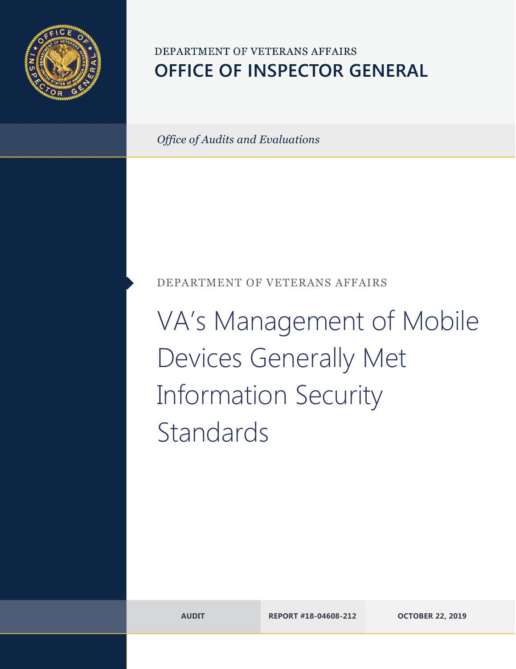

# DEPARTMENT OF VETERANS AFFAIRS **OFFICE OF INSPECTOR GENERAL**

*Office of Audits and Evaluations*

## DEPARTMENT OF VETERANS AFFAIRS

VA's Management of Mobile Devices Generally Met Information Security Standards

**AUDIT REPORT #18-04608-212 OCTOBER 22, 2019**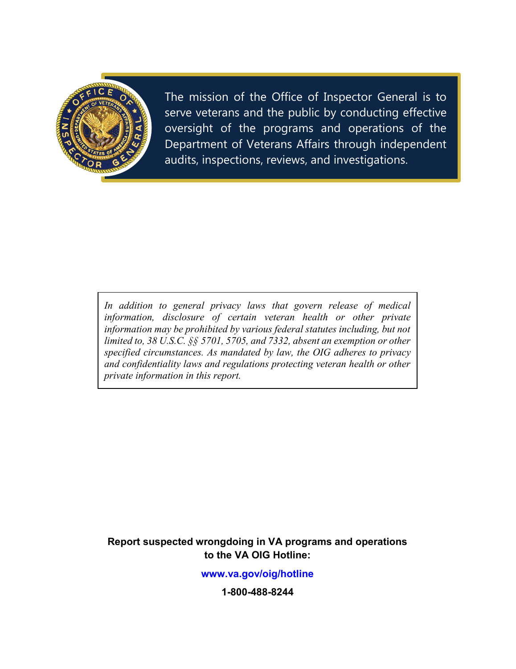

The mission of the Office of Inspector General is to serve veterans and the public by conducting effective oversight of the programs and operations of the Department of Veterans Affairs through independent audits, inspections, reviews, and investigations.

*In addition to general privacy laws that govern release of medical information, disclosure of certain veteran health or other private information may be prohibited by various federal statutes including, but not limited to, 38 U.S.C. §§ 5701, 5705, and 7332, absent an exemption or other specified circumstances. As mandated by law, the OIG adheres to privacy and confidentiality laws and regulations protecting veteran health or other private information in this report.*

**Report suspected wrongdoing in VA programs and operations to the VA OIG Hotline:**

**<www.va.gov/oig/hotline>**

**1-800-488-8244**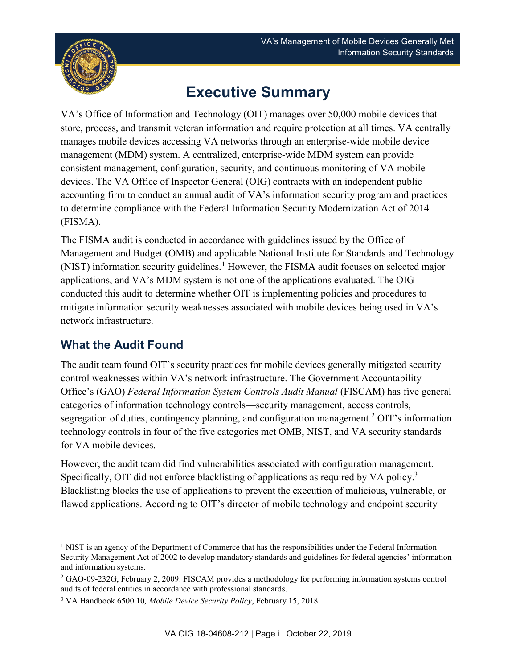

# **Executive Summary**

<span id="page-2-3"></span>VA's Office of Information and Technology (OIT) manages over 50,000 mobile devices that store, process, and transmit veteran information and require protection at all times. VA centrally manages mobile devices accessing VA networks through an enterprise-wide mobile device management (MDM) system. A centralized, enterprise-wide MDM system can provide consistent management, configuration, security, and continuous monitoring of VA mobile devices. The VA Office of Inspector General (OIG) contracts with an independent public accounting firm to conduct an annual audit of VA's information security program and practices to determine compliance with the Federal Information Security Modernization Act of 2014 (FISMA).

The FISMA audit is conducted in accordance with guidelines issued by the Office of Management and Budget (OMB) and applicable National Institute for Standards and Technology (NIST) information security guidelines.<sup>[1](#page-2-0)</sup> However, the FISMA audit focuses on selected major applications, and VA's MDM system is not one of the applications evaluated. The OIG conducted this audit to determine whether OIT is implementing policies and procedures to mitigate information security weaknesses associated with mobile devices being used in VA's network infrastructure.

# **What the Audit Found**

 $\overline{a}$ 

The audit team found OIT's security practices for mobile devices generally mitigated security control weaknesses within VA's network infrastructure. The Government Accountability Office's (GAO) *Federal Information System Controls Audit Manual* (FISCAM) has five general categories of information technology controls—security management, access controls, segregation of duties, contingency planning, and configuration management.<sup>[2](#page-2-1)</sup> OIT's information technology controls in four of the five categories met OMB, NIST, and VA security standards for VA mobile devices.

However, the audit team did find vulnerabilities associated with configuration management. Specifically, OIT did not enforce blacklisting of applications as required by VA policy.<sup>[3](#page-2-2)</sup> Blacklisting blocks the use of applications to prevent the execution of malicious, vulnerable, or flawed applications. According to OIT's director of mobile technology and endpoint security

<span id="page-2-0"></span><sup>&</sup>lt;sup>1</sup> NIST is an agency of the Department of Commerce that has the responsibilities under the Federal Information Security Management Act of 2002 to develop mandatory standards and guidelines for federal agencies' information and information systems.

<span id="page-2-1"></span><sup>2</sup> GAO-09-232G, February 2, 2009. FISCAM provides a methodology for performing information systems control audits of federal entities in accordance with professional standards.

<span id="page-2-2"></span><sup>3</sup> VA Handbook 6500.10*, Mobile Device Security Policy*, February 15, 2018.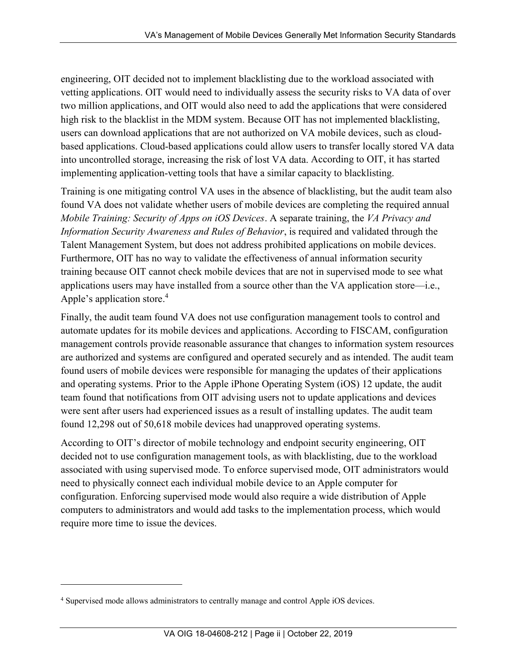engineering, OIT decided not to implement blacklisting due to the workload associated with vetting applications. OIT would need to individually assess the security risks to VA data of over two million applications, and OIT would also need to add the applications that were considered high risk to the blacklist in the MDM system. Because OIT has not implemented blacklisting, users can download applications that are not authorized on VA mobile devices, such as cloudbased applications. Cloud-based applications could allow users to transfer locally stored VA data into uncontrolled storage, increasing the risk of lost VA data. According to OIT, it has started implementing application-vetting tools that have a similar capacity to blacklisting.

Training is one mitigating control VA uses in the absence of blacklisting, but the audit team also found VA does not validate whether users of mobile devices are completing the required annual *Mobile Training: Security of Apps on iOS Devices*. A separate training, the *VA Privacy and Information Security Awareness and Rules of Behavior*, is required and validated through the Talent Management System, but does not address prohibited applications on mobile devices. Furthermore, OIT has no way to validate the effectiveness of annual information security training because OIT cannot check mobile devices that are not in supervised mode to see what applications users may have installed from a source other than the VA application store—i.e., Apple's application store. [4](#page-3-0)

Finally, the audit team found VA does not use configuration management tools to control and automate updates for its mobile devices and applications. According to FISCAM, configuration management controls provide reasonable assurance that changes to information system resources are authorized and systems are configured and operated securely and as intended. The audit team found users of mobile devices were responsible for managing the updates of their applications and operating systems. Prior to the Apple iPhone Operating System (iOS) 12 update, the audit team found that notifications from OIT advising users not to update applications and devices were sent after users had experienced issues as a result of installing updates. The audit team found 12,298 out of 50,618 mobile devices had unapproved operating systems.

According to OIT's director of mobile technology and endpoint security engineering, OIT decided not to use configuration management tools, as with blacklisting, due to the workload associated with using supervised mode. To enforce supervised mode, OIT administrators would need to physically connect each individual mobile device to an Apple computer for configuration. Enforcing supervised mode would also require a wide distribution of Apple computers to administrators and would add tasks to the implementation process, which would require more time to issue the devices.

 $\overline{a}$ 

<span id="page-3-0"></span><sup>4</sup> Supervised mode allows administrators to centrally manage and control Apple iOS devices.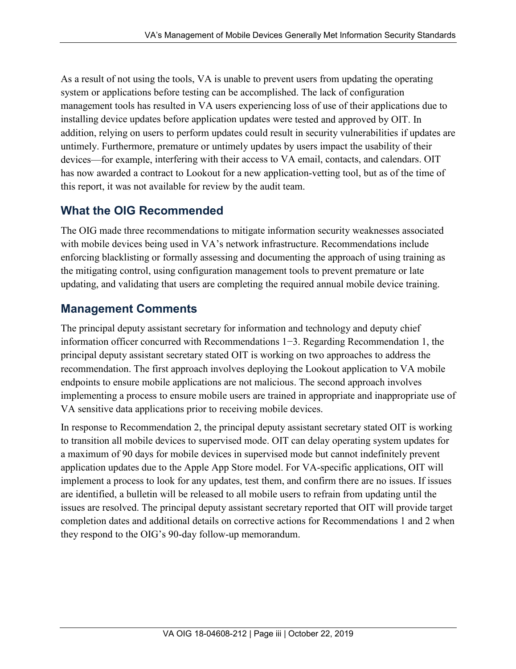As a result of not using the tools, VA is unable to prevent users from updating the operating system or applications before testing can be accomplished. The lack of configuration management tools has resulted in VA users experiencing loss of use of their applications due to installing device updates before application updates were tested and approved by OIT. In addition, relying on users to perform updates could result in security vulnerabilities if updates are untimely. Furthermore, premature or untimely updates by users impact the usability of their devices—for example, interfering with their access to VA email, contacts, and calendars. OIT has now awarded a contract to Lookout for a new application-vetting tool, but as of the time of this report, it was not available for review by the audit team.

#### **What the OIG Recommended**

The OIG made three recommendations to mitigate information security weaknesses associated with mobile devices being used in VA's network infrastructure. Recommendations include enforcing blacklisting or formally assessing and documenting the approach of using training as the mitigating control, using configuration management tools to prevent premature or late updating, and validating that users are completing the required annual mobile device training.

## **Management Comments**

The principal deputy assistant secretary for information and technology and deputy chief information officer concurred with Recommendations 1−3. Regarding Recommendation 1, the principal deputy assistant secretary stated OIT is working on two approaches to address the recommendation. The first approach involves deploying the Lookout application to VA mobile endpoints to ensure mobile applications are not malicious. The second approach involves implementing a process to ensure mobile users are trained in appropriate and inappropriate use of VA sensitive data applications prior to receiving mobile devices.

In response to Recommendation 2, the principal deputy assistant secretary stated OIT is working to transition all mobile devices to supervised mode. OIT can delay operating system updates for a maximum of 90 days for mobile devices in supervised mode but cannot indefinitely prevent application updates due to the Apple App Store model. For VA-specific applications, OIT will implement a process to look for any updates, test them, and confirm there are no issues. If issues are identified, a bulletin will be released to all mobile users to refrain from updating until the issues are resolved. The principal deputy assistant secretary reported that OIT will provide target completion dates and additional details on corrective actions for Recommendations 1 and 2 when they respond to the OIG's 90-day follow-up memorandum.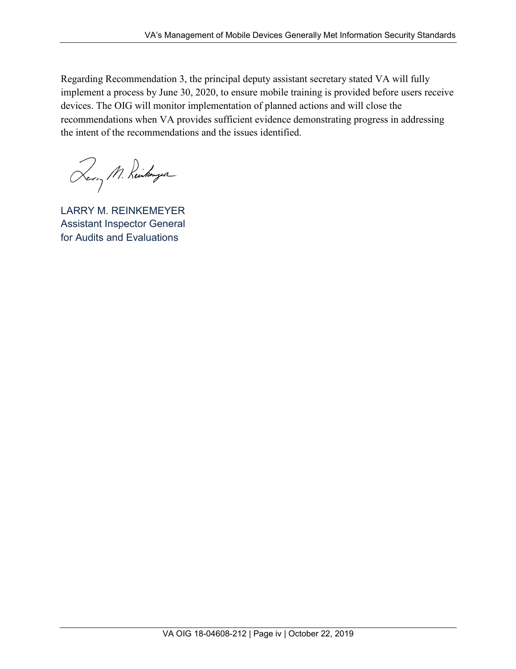Regarding Recommendation 3, the principal deputy assistant secretary stated VA will fully implement a process by June 30, 2020, to ensure mobile training is provided before users receive devices. The OIG will monitor implementation of planned actions and will close the recommendations when VA provides sufficient evidence demonstrating progress in addressing the intent of the recommendations and the issues identified.

Rerry M. Reinkergen

LARRY M. REINKEMEYER Assistant Inspector General for Audits and Evaluations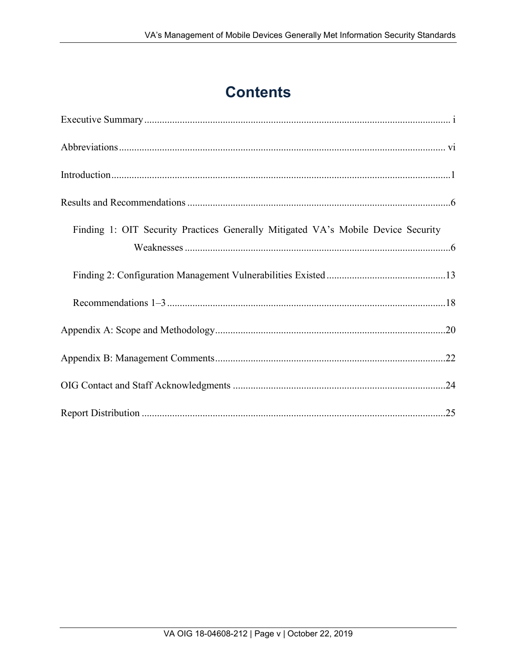# **Contents**

| Finding 1: OIT Security Practices Generally Mitigated VA's Mobile Device Security |  |
|-----------------------------------------------------------------------------------|--|
|                                                                                   |  |
|                                                                                   |  |
|                                                                                   |  |
|                                                                                   |  |
|                                                                                   |  |
|                                                                                   |  |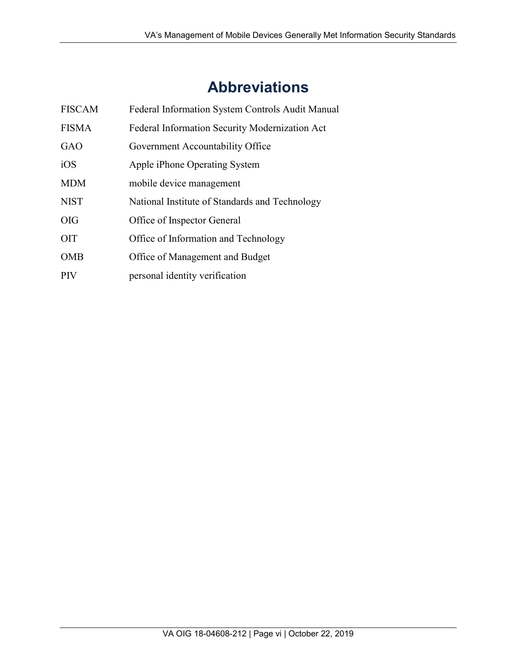# **Abbreviations**

<span id="page-7-0"></span>

| <b>FISCAM</b> | Federal Information System Controls Audit Manual |
|---------------|--------------------------------------------------|
| <b>FISMA</b>  | Federal Information Security Modernization Act   |
| <b>GAO</b>    | Government Accountability Office                 |
| iOS           | Apple iPhone Operating System                    |
| <b>MDM</b>    | mobile device management                         |
| <b>NIST</b>   | National Institute of Standards and Technology   |
| OIG           | Office of Inspector General                      |
| <b>OIT</b>    | Office of Information and Technology             |
| <b>OMB</b>    | Office of Management and Budget                  |
| PIV           | personal identity verification                   |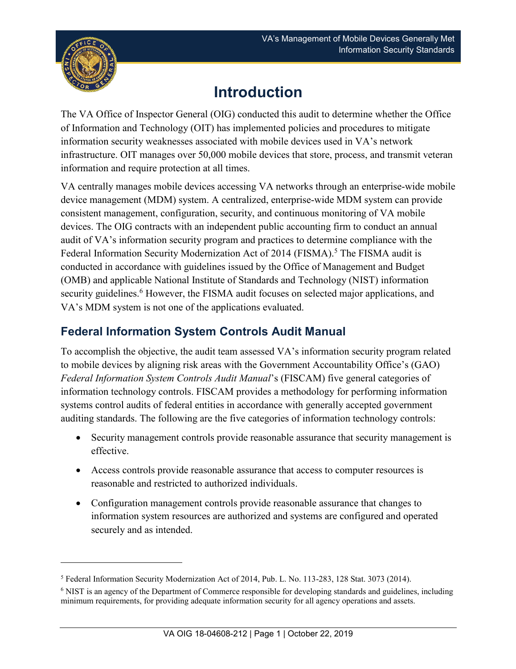

 $\overline{a}$ 

# **Introduction**

<span id="page-8-0"></span>The VA Office of Inspector General (OIG) conducted this audit to determine whether the Office of Information and Technology (OIT) has implemented policies and procedures to mitigate information security weaknesses associated with mobile devices used in VA's network infrastructure. OIT manages over 50,000 mobile devices that store, process, and transmit veteran information and require protection at all times.

VA centrally manages mobile devices accessing VA networks through an enterprise-wide mobile device management (MDM) system. A centralized, enterprise-wide MDM system can provide consistent management, configuration, security, and continuous monitoring of VA mobile devices. The OIG contracts with an independent public accounting firm to conduct an annual audit of VA's information security program and practices to determine compliance with the Federal Information Security Modernization Act of 2014 (FISMA).<sup>[5](#page-8-1)</sup> The FISMA audit is conducted in accordance with guidelines issued by the Office of Management and Budget (OMB) and applicable National Institute of Standards and Technology (NIST) information security guidelines.<sup>[6](#page-8-2)</sup> However, the FISMA audit focuses on selected major applications, and VA's MDM system is not one of the applications evaluated.

## **Federal Information System Controls Audit Manual**

To accomplish the objective, the audit team assessed VA's information security program related to mobile devices by aligning risk areas with the Government Accountability Office's (GAO) *Federal Information System Controls Audit Manual*'s (FISCAM) five general categories of information technology controls. FISCAM provides a methodology for performing information systems control audits of federal entities in accordance with generally accepted government auditing standards. The following are the five categories of information technology controls:

- Security management controls provide reasonable assurance that security management is effective.
- · Access controls provide reasonable assurance that access to computer resources is reasonable and restricted to authorized individuals.
- · Configuration management controls provide reasonable assurance that changes to information system resources are authorized and systems are configured and operated securely and as intended.

<span id="page-8-1"></span><sup>5</sup> Federal Information Security Modernization Act of 2014, Pub. L. No. 113-283, 128 Stat. 3073 (2014).

<span id="page-8-2"></span><sup>6</sup> NIST is an agency of the Department of Commerce responsible for developing standards and guidelines, including minimum requirements, for providing adequate information security for all agency operations and assets.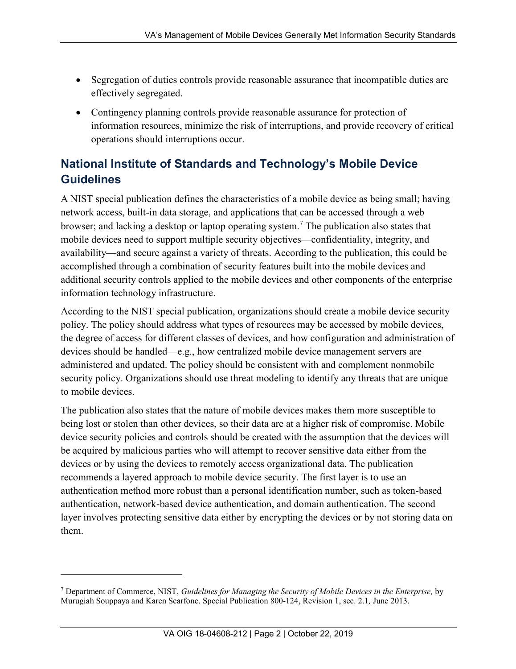- · Segregation of duties controls provide reasonable assurance that incompatible duties are effectively segregated.
- · Contingency planning controls provide reasonable assurance for protection of information resources, minimize the risk of interruptions, and provide recovery of critical operations should interruptions occur.

# **National Institute of Standards and Technology's Mobile Device Guidelines**

A NIST special publication defines the characteristics of a mobile device as being small; having network access, built-in data storage, and applications that can be accessed through a web browser; and lacking a desktop or laptop operating system.<sup>[7](#page-9-0)</sup> The publication also states that mobile devices need to support multiple security objectives—confidentiality, integrity, and availability—and secure against a variety of threats. According to the publication, this could be accomplished through a combination of security features built into the mobile devices and additional security controls applied to the mobile devices and other components of the enterprise information technology infrastructure.

According to the NIST special publication, organizations should create a mobile device security policy. The policy should address what types of resources may be accessed by mobile devices, the degree of access for different classes of devices, and how configuration and administration of devices should be handled—e.g., how centralized mobile device management servers are administered and updated. The policy should be consistent with and complement nonmobile security policy. Organizations should use threat modeling to identify any threats that are unique to mobile devices.

The publication also states that the nature of mobile devices makes them more susceptible to being lost or stolen than other devices, so their data are at a higher risk of compromise. Mobile device security policies and controls should be created with the assumption that the devices will be acquired by malicious parties who will attempt to recover sensitive data either from the devices or by using the devices to remotely access organizational data. The publication recommends a layered approach to mobile device security. The first layer is to use an authentication method more robust than a personal identification number, such as token-based authentication, network-based device authentication, and domain authentication. The second layer involves protecting sensitive data either by encrypting the devices or by not storing data on them.

 $\overline{a}$ 

<span id="page-9-0"></span><sup>7</sup> Department of Commerce, NIST, *Guidelines for Managing the Security of Mobile Devices in the Enterprise,* by Murugiah Souppaya and Karen Scarfone. Special Publication 800-124, Revision 1, sec. 2.1*,* June 2013.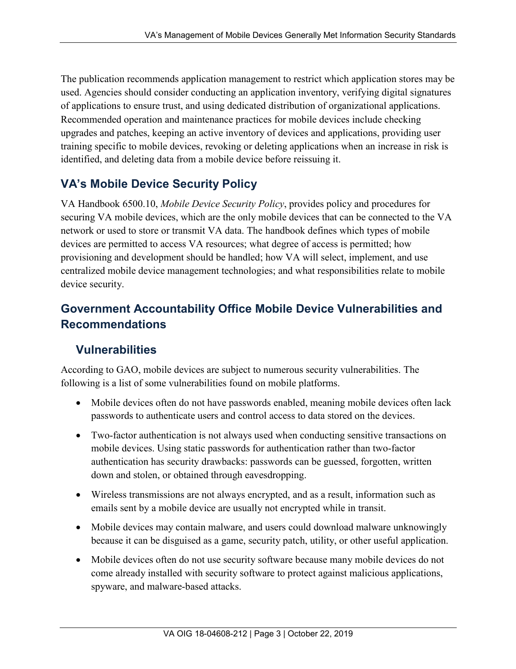The publication recommends application management to restrict which application stores may be used. Agencies should consider conducting an application inventory, verifying digital signatures of applications to ensure trust, and using dedicated distribution of organizational applications. Recommended operation and maintenance practices for mobile devices include checking upgrades and patches, keeping an active inventory of devices and applications, providing user training specific to mobile devices, revoking or deleting applications when an increase in risk is identified, and deleting data from a mobile device before reissuing it.

## **VA's Mobile Device Security Policy**

VA Handbook 6500.10, *Mobile Device Security Policy*, provides policy and procedures for securing VA mobile devices, which are the only mobile devices that can be connected to the VA network or used to store or transmit VA data. The handbook defines which types of mobile devices are permitted to access VA resources; what degree of access is permitted; how provisioning and development should be handled; how VA will select, implement, and use centralized mobile device management technologies; and what responsibilities relate to mobile device security.

## **Government Accountability Office Mobile Device Vulnerabilities and Recommendations**

#### **Vulnerabilities**

According to GAO, mobile devices are subject to numerous security vulnerabilities. The following is a list of some vulnerabilities found on mobile platforms.

- Mobile devices often do not have passwords enabled, meaning mobile devices often lack passwords to authenticate users and control access to data stored on the devices.
- · Two-factor authentication is not always used when conducting sensitive transactions on mobile devices. Using static passwords for authentication rather than two-factor authentication has security drawbacks: passwords can be guessed, forgotten, written down and stolen, or obtained through eavesdropping.
- · Wireless transmissions are not always encrypted, and as a result, information such as emails sent by a mobile device are usually not encrypted while in transit.
- Mobile devices may contain malware, and users could download malware unknowingly because it can be disguised as a game, security patch, utility, or other useful application.
- Mobile devices often do not use security software because many mobile devices do not come already installed with security software to protect against malicious applications, spyware, and malware-based attacks.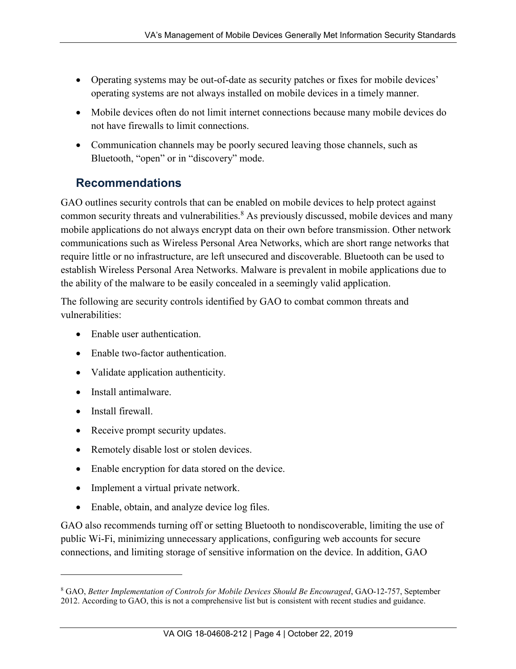- · Operating systems may be out-of-date as security patches or fixes for mobile devices' operating systems are not always installed on mobile devices in a timely manner.
- · Mobile devices often do not limit internet connections because many mobile devices do not have firewalls to limit connections.
- Communication channels may be poorly secured leaving those channels, such as Bluetooth, "open" or in "discovery" mode.

#### **Recommendations**

GAO outlines security controls that can be enabled on mobile devices to help protect against common security threats and vulnerabilities. [8](#page-11-0) As previously discussed, mobile devices and many mobile applications do not always encrypt data on their own before transmission. Other network communications such as Wireless Personal Area Networks, which are short range networks that require little or no infrastructure, are left unsecured and discoverable. Bluetooth can be used to establish Wireless Personal Area Networks. Malware is prevalent in mobile applications due to the ability of the malware to be easily concealed in a seemingly valid application.

The following are security controls identified by GAO to combat common threats and vulnerabilities:

- Enable user authentication.
- · Enable two-factor authentication.
- Validate application authenticity.
- Install antimalware
- Install firewall

 $\overline{a}$ 

- Receive prompt security updates.
- Remotely disable lost or stolen devices.
- Enable encryption for data stored on the device.
- Implement a virtual private network.
- Enable, obtain, and analyze device log files.

GAO also recommends turning off or setting Bluetooth to nondiscoverable, limiting the use of public Wi-Fi, minimizing unnecessary applications, configuring web accounts for secure connections, and limiting storage of sensitive information on the device. In addition, GAO

<span id="page-11-0"></span><sup>8</sup> GAO, *Better Implementation of Controls for Mobile Devices Should Be Encouraged*, GAO-12-757, September 2012. According to GAO, this is not a comprehensive list but is consistent with recent studies and guidance.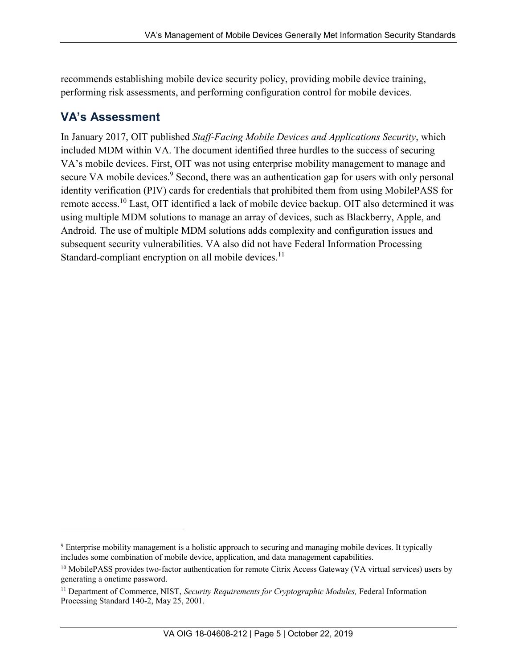recommends establishing mobile device security policy, providing mobile device training, performing risk assessments, and performing configuration control for mobile devices.

## **VA's Assessment**

 $\overline{a}$ 

In January 2017, OIT published *Staff-Facing Mobile Devices and Applications Security*, which included MDM within VA. The document identified three hurdles to the success of securing VA's mobile devices. First, OIT was not using enterprise mobility management to manage and secure VA mobile devices.<sup>[9](#page-12-0)</sup> Second, there was an authentication gap for users with only personal identity verification (PIV) cards for credentials that prohibited them from using MobilePASS for remote access.[10](#page-12-1) Last, OIT identified a lack of mobile device backup. OIT also determined it was using multiple MDM solutions to manage an array of devices, such as Blackberry, Apple, and Android. The use of multiple MDM solutions adds complexity and configuration issues and subsequent security vulnerabilities. VA also did not have Federal Information Processing Standard-compliant encryption on all mobile devices.<sup>[11](#page-12-2)</sup>

<span id="page-12-0"></span><sup>9</sup> Enterprise mobility management is a holistic approach to securing and managing mobile devices. It typically includes some combination of mobile device, application, and data management capabilities.

<span id="page-12-1"></span><sup>&</sup>lt;sup>10</sup> MobilePASS provides two-factor authentication for remote Citrix Access Gateway (VA virtual services) users by generating a onetime password.

<span id="page-12-2"></span><sup>&</sup>lt;sup>11</sup> Department of Commerce, NIST, *Security Requirements for Cryptographic Modules*, Federal Information Processing Standard 140-2, May 25, 2001.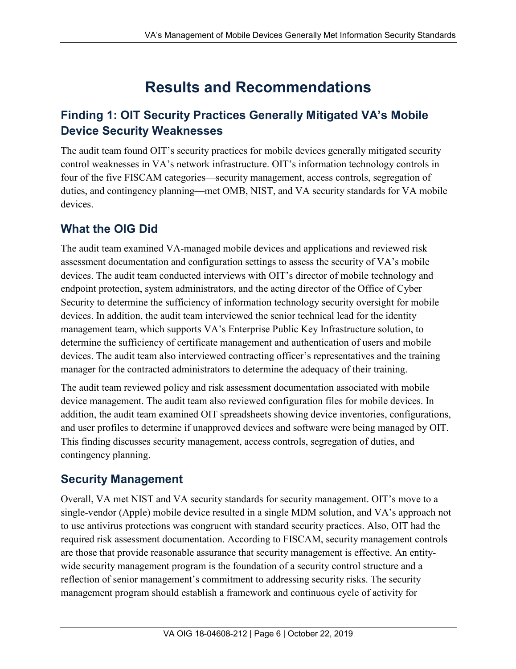# **Results and Recommendations**

# <span id="page-13-1"></span><span id="page-13-0"></span>**Finding 1: OIT Security Practices Generally Mitigated VA's Mobile Device Security Weaknesses**

The audit team found OIT's security practices for mobile devices generally mitigated security control weaknesses in VA's network infrastructure. OIT's information technology controls in four of the five FISCAM categories—security management, access controls, segregation of duties, and contingency planning—met OMB, NIST, and VA security standards for VA mobile devices.

# **What the OIG Did**

The audit team examined VA-managed mobile devices and applications and reviewed risk assessment documentation and configuration settings to assess the security of VA's mobile devices. The audit team conducted interviews with OIT's director of mobile technology and endpoint protection, system administrators, and the acting director of the Office of Cyber Security to determine the sufficiency of information technology security oversight for mobile devices. In addition, the audit team interviewed the senior technical lead for the identity management team, which supports VA's Enterprise Public Key Infrastructure solution, to determine the sufficiency of certificate management and authentication of users and mobile devices. The audit team also interviewed contracting officer's representatives and the training manager for the contracted administrators to determine the adequacy of their training.

The audit team reviewed policy and risk assessment documentation associated with mobile device management. The audit team also reviewed configuration files for mobile devices. In addition, the audit team examined OIT spreadsheets showing device inventories, configurations, and user profiles to determine if unapproved devices and software were being managed by OIT. This finding discusses security management, access controls, segregation of duties, and contingency planning.

#### **Security Management**

Overall, VA met NIST and VA security standards for security management. OIT's move to a single-vendor (Apple) mobile device resulted in a single MDM solution, and VA's approach not to use antivirus protections was congruent with standard security practices. Also, OIT had the required risk assessment documentation. According to FISCAM, security management controls are those that provide reasonable assurance that security management is effective. An entitywide security management program is the foundation of a security control structure and a reflection of senior management's commitment to addressing security risks. The security management program should establish a framework and continuous cycle of activity for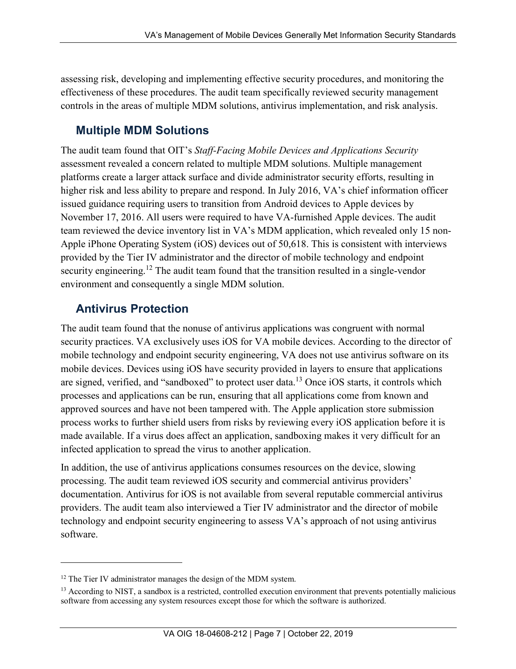assessing risk, developing and implementing effective security procedures, and monitoring the effectiveness of these procedures. The audit team specifically reviewed security management controls in the areas of multiple MDM solutions, antivirus implementation, and risk analysis.

#### **Multiple MDM Solutions**

The audit team found that OIT's *Staff-Facing Mobile Devices and Applications Security* assessment revealed a concern related to multiple MDM solutions. Multiple management platforms create a larger attack surface and divide administrator security efforts, resulting in higher risk and less ability to prepare and respond. In July 2016, VA's chief information officer issued guidance requiring users to transition from Android devices to Apple devices by November 17, 2016. All users were required to have VA-furnished Apple devices. The audit team reviewed the device inventory list in VA's MDM application, which revealed only 15 non-Apple iPhone Operating System (iOS) devices out of 50,618. This is consistent with interviews provided by the Tier IV administrator and the director of mobile technology and endpoint security engineering.<sup>[12](#page-14-0)</sup> The audit team found that the transition resulted in a single-vendor environment and consequently a single MDM solution.

## **Antivirus Protection**

 $\overline{a}$ 

The audit team found that the nonuse of antivirus applications was congruent with normal security practices. VA exclusively uses iOS for VA mobile devices. According to the director of mobile technology and endpoint security engineering, VA does not use antivirus software on its mobile devices. Devices using iOS have security provided in layers to ensure that applications are signed, verified, and "sandboxed" to protect user data.[13](#page-14-1) Once iOS starts, it controls which processes and applications can be run, ensuring that all applications come from known and approved sources and have not been tampered with. The Apple application store submission process works to further shield users from risks by reviewing every iOS application before it is made available. If a virus does affect an application, sandboxing makes it very difficult for an infected application to spread the virus to another application.

In addition, the use of antivirus applications consumes resources on the device, slowing processing. The audit team reviewed iOS security and commercial antivirus providers' documentation. Antivirus for iOS is not available from several reputable commercial antivirus providers. The audit team also interviewed a Tier IV administrator and the director of mobile technology and endpoint security engineering to assess VA's approach of not using antivirus software.

<span id="page-14-0"></span><sup>&</sup>lt;sup>12</sup> The Tier IV administrator manages the design of the MDM system.

<span id="page-14-1"></span> $13$  According to NIST, a sandbox is a restricted, controlled execution environment that prevents potentially malicious software from accessing any system resources except those for which the software is authorized.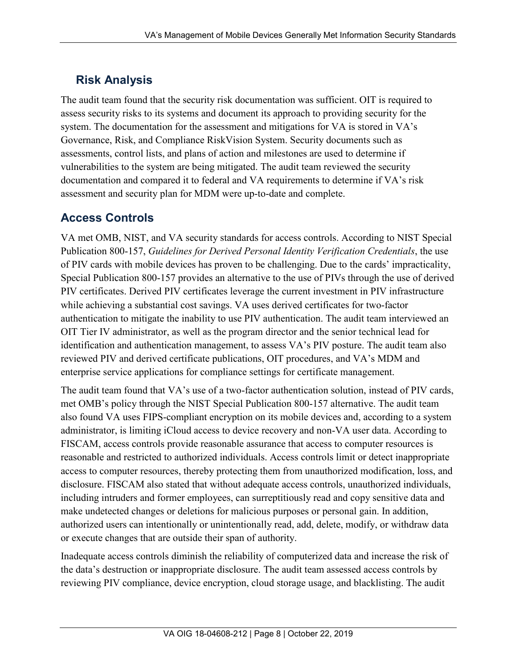# **Risk Analysis**

The audit team found that the security risk documentation was sufficient. OIT is required to assess security risks to its systems and document its approach to providing security for the system. The documentation for the assessment and mitigations for VA is stored in VA's Governance, Risk, and Compliance RiskVision System. Security documents such as assessments, control lists, and plans of action and milestones are used to determine if vulnerabilities to the system are being mitigated. The audit team reviewed the security documentation and compared it to federal and VA requirements to determine if VA's risk assessment and security plan for MDM were up-to-date and complete.

# **Access Controls**

VA met OMB, NIST, and VA security standards for access controls. According to NIST Special Publication 800-157, *Guidelines for Derived Personal Identity Verification Credentials*, the use of PIV cards with mobile devices has proven to be challenging. Due to the cards' impracticality, Special Publication 800-157 provides an alternative to the use of PIVs through the use of derived PIV certificates. Derived PIV certificates leverage the current investment in PIV infrastructure while achieving a substantial cost savings. VA uses derived certificates for two-factor authentication to mitigate the inability to use PIV authentication. The audit team interviewed an OIT Tier IV administrator, as well as the program director and the senior technical lead for identification and authentication management, to assess VA's PIV posture. The audit team also reviewed PIV and derived certificate publications, OIT procedures, and VA's MDM and enterprise service applications for compliance settings for certificate management.

The audit team found that VA's use of a two-factor authentication solution, instead of PIV cards, met OMB's policy through the NIST Special Publication 800-157 alternative. The audit team also found VA uses FIPS-compliant encryption on its mobile devices and, according to a system administrator, is limiting iCloud access to device recovery and non-VA user data. According to FISCAM, access controls provide reasonable assurance that access to computer resources is reasonable and restricted to authorized individuals. Access controls limit or detect inappropriate access to computer resources, thereby protecting them from unauthorized modification, loss, and disclosure. FISCAM also stated that without adequate access controls, unauthorized individuals, including intruders and former employees, can surreptitiously read and copy sensitive data and make undetected changes or deletions for malicious purposes or personal gain. In addition, authorized users can intentionally or unintentionally read, add, delete, modify, or withdraw data or execute changes that are outside their span of authority.

Inadequate access controls diminish the reliability of computerized data and increase the risk of the data's destruction or inappropriate disclosure. The audit team assessed access controls by reviewing PIV compliance, device encryption, cloud storage usage, and blacklisting. The audit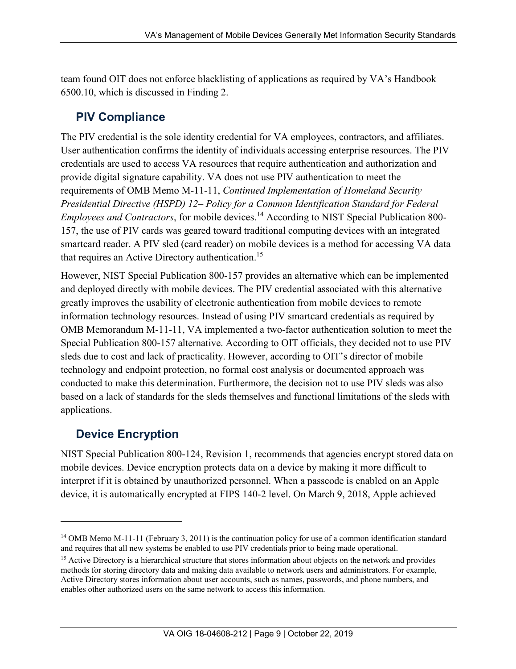team found OIT does not enforce blacklisting of applications as required by VA's Handbook 6500.10, which is discussed in Finding 2.

# **PIV Compliance**

The PIV credential is the sole identity credential for VA employees, contractors, and affiliates. User authentication confirms the identity of individuals accessing enterprise resources. The PIV credentials are used to access VA resources that require authentication and authorization and provide digital signature capability. VA does not use PIV authentication to meet the requirements of OMB Memo M-11-11, *Continued Implementation of Homeland Security Presidential Directive (HSPD) 12– Policy for a Common Identification Standard for Federal Employees and Contractors*, for mobile devices.<sup>[14](#page-16-0)</sup> According to NIST Special Publication 800-157, the use of PIV cards was geared toward traditional computing devices with an integrated smartcard reader. A PIV sled (card reader) on mobile devices is a method for accessing VA data that requires an Active Directory authentication.<sup>[15](#page-16-1)</sup>

However, NIST Special Publication 800-157 provides an alternative which can be implemented and deployed directly with mobile devices. The PIV credential associated with this alternative greatly improves the usability of electronic authentication from mobile devices to remote information technology resources. Instead of using PIV smartcard credentials as required by OMB Memorandum M-11-11, VA implemented a two-factor authentication solution to meet the Special Publication 800-157 alternative. According to OIT officials, they decided not to use PIV sleds due to cost and lack of practicality. However, according to OIT's director of mobile technology and endpoint protection, no formal cost analysis or documented approach was conducted to make this determination. Furthermore, the decision not to use PIV sleds was also based on a lack of standards for the sleds themselves and functional limitations of the sleds with applications.

# **Device Encryption**

 $\overline{a}$ 

NIST Special Publication 800-124, Revision 1, recommends that agencies encrypt stored data on mobile devices. Device encryption protects data on a device by making it more difficult to interpret if it is obtained by unauthorized personnel. When a passcode is enabled on an Apple device, it is automatically encrypted at FIPS 140-2 level. On March 9, 2018, Apple achieved

<span id="page-16-0"></span><sup>14</sup> OMB Memo M-11-11 (February 3, 2011) is the continuation policy for use of a common identification standard and requires that all new systems be enabled to use PIV credentials prior to being made operational.

<span id="page-16-1"></span><sup>&</sup>lt;sup>15</sup> Active Directory is a hierarchical structure that stores information about objects on the network and provides methods for storing directory data and making data available to network users and administrators. For example, Active Directory stores information about user accounts, such as names, passwords, and phone numbers, and enables other authorized users on the same network to access this information.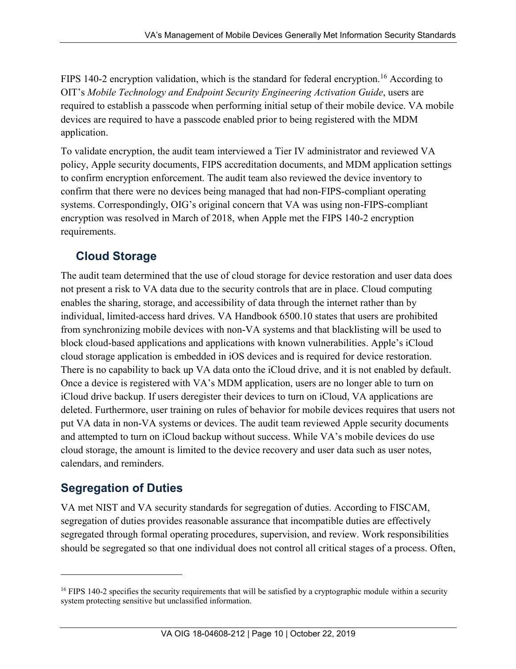FIPS 140-2 encryption validation, which is the standard for federal encryption.<sup>[16](#page-17-0)</sup> According to OIT's *Mobile Technology and Endpoint Security Engineering Activation Guide*, users are required to establish a passcode when performing initial setup of their mobile device. VA mobile devices are required to have a passcode enabled prior to being registered with the MDM application.

To validate encryption, the audit team interviewed a Tier IV administrator and reviewed VA policy, Apple security documents, FIPS accreditation documents, and MDM application settings to confirm encryption enforcement. The audit team also reviewed the device inventory to confirm that there were no devices being managed that had non-FIPS-compliant operating systems. Correspondingly, OIG's original concern that VA was using non-FIPS-compliant encryption was resolved in March of 2018, when Apple met the FIPS 140-2 encryption requirements.

## **Cloud Storage**

The audit team determined that the use of cloud storage for device restoration and user data does not present a risk to VA data due to the security controls that are in place. Cloud computing enables the sharing, storage, and accessibility of data through the internet rather than by individual, limited-access hard drives. VA Handbook 6500.10 states that users are prohibited from synchronizing mobile devices with non-VA systems and that blacklisting will be used to block cloud-based applications and applications with known vulnerabilities. Apple's iCloud cloud storage application is embedded in iOS devices and is required for device restoration. There is no capability to back up VA data onto the iCloud drive, and it is not enabled by default. Once a device is registered with VA's MDM application, users are no longer able to turn on iCloud drive backup. If users deregister their devices to turn on iCloud, VA applications are deleted. Furthermore, user training on rules of behavior for mobile devices requires that users not put VA data in non-VA systems or devices. The audit team reviewed Apple security documents and attempted to turn on iCloud backup without success. While VA's mobile devices do use cloud storage, the amount is limited to the device recovery and user data such as user notes, calendars, and reminders.

# **Segregation of Duties**

 $\overline{a}$ 

VA met NIST and VA security standards for segregation of duties. According to FISCAM, segregation of duties provides reasonable assurance that incompatible duties are effectively segregated through formal operating procedures, supervision, and review. Work responsibilities should be segregated so that one individual does not control all critical stages of a process. Often,

<span id="page-17-0"></span><sup>&</sup>lt;sup>16</sup> FIPS 140-2 specifies the security requirements that will be satisfied by a cryptographic module within a security system protecting sensitive but unclassified information.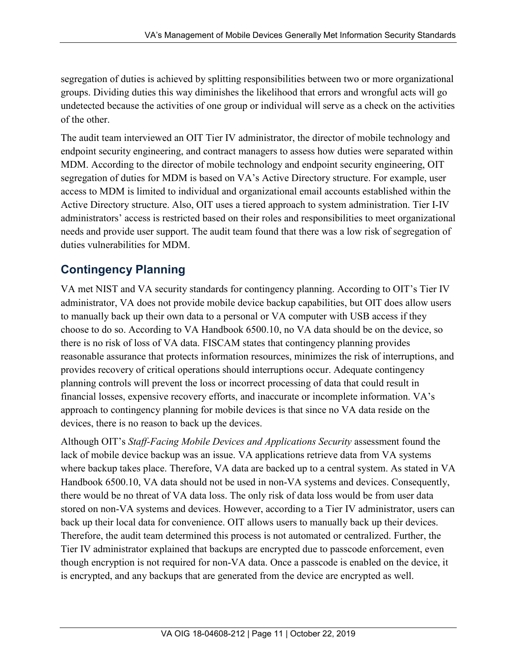segregation of duties is achieved by splitting responsibilities between two or more organizational groups. Dividing duties this way diminishes the likelihood that errors and wrongful acts will go undetected because the activities of one group or individual will serve as a check on the activities of the other.

The audit team interviewed an OIT Tier IV administrator, the director of mobile technology and endpoint security engineering, and contract managers to assess how duties were separated within MDM. According to the director of mobile technology and endpoint security engineering, OIT segregation of duties for MDM is based on VA's Active Directory structure. For example, user access to MDM is limited to individual and organizational email accounts established within the Active Directory structure. Also, OIT uses a tiered approach to system administration. Tier I-IV administrators' access is restricted based on their roles and responsibilities to meet organizational needs and provide user support. The audit team found that there was a low risk of segregation of duties vulnerabilities for MDM.

## **Contingency Planning**

VA met NIST and VA security standards for contingency planning. According to OIT's Tier IV administrator, VA does not provide mobile device backup capabilities, but OIT does allow users to manually back up their own data to a personal or VA computer with USB access if they choose to do so. According to VA Handbook 6500.10, no VA data should be on the device, so there is no risk of loss of VA data. FISCAM states that contingency planning provides reasonable assurance that protects information resources, minimizes the risk of interruptions, and provides recovery of critical operations should interruptions occur. Adequate contingency planning controls will prevent the loss or incorrect processing of data that could result in financial losses, expensive recovery efforts, and inaccurate or incomplete information. VA's approach to contingency planning for mobile devices is that since no VA data reside on the devices, there is no reason to back up the devices.

Although OIT's *Staff-Facing Mobile Devices and Applications Security* assessment found the lack of mobile device backup was an issue. VA applications retrieve data from VA systems where backup takes place. Therefore, VA data are backed up to a central system. As stated in VA Handbook 6500.10, VA data should not be used in non-VA systems and devices. Consequently, there would be no threat of VA data loss. The only risk of data loss would be from user data stored on non-VA systems and devices. However, according to a Tier IV administrator, users can back up their local data for convenience. OIT allows users to manually back up their devices. Therefore, the audit team determined this process is not automated or centralized. Further, the Tier IV administrator explained that backups are encrypted due to passcode enforcement, even though encryption is not required for non-VA data. Once a passcode is enabled on the device, it is encrypted, and any backups that are generated from the device are encrypted as well.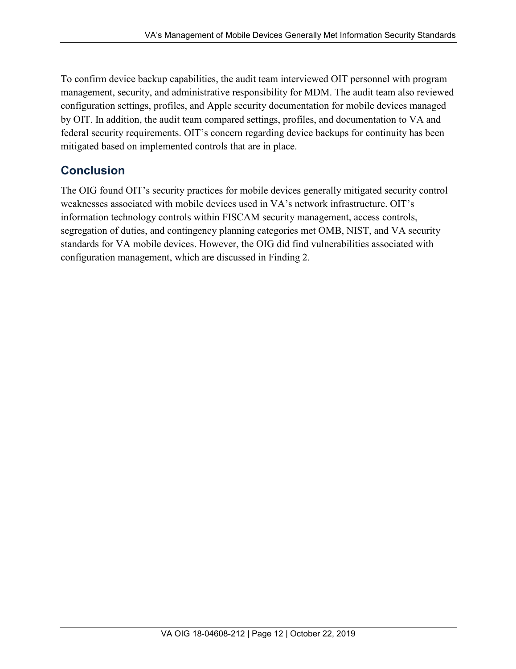To confirm device backup capabilities, the audit team interviewed OIT personnel with program management, security, and administrative responsibility for MDM. The audit team also reviewed configuration settings, profiles, and Apple security documentation for mobile devices managed by OIT. In addition, the audit team compared settings, profiles, and documentation to VA and federal security requirements. OIT's concern regarding device backups for continuity has been mitigated based on implemented controls that are in place.

# **Conclusion**

The OIG found OIT's security practices for mobile devices generally mitigated security control weaknesses associated with mobile devices used in VA's network infrastructure. OIT's information technology controls within FISCAM security management, access controls, segregation of duties, and contingency planning categories met OMB, NIST, and VA security standards for VA mobile devices. However, the OIG did find vulnerabilities associated with configuration management, which are discussed in Finding 2.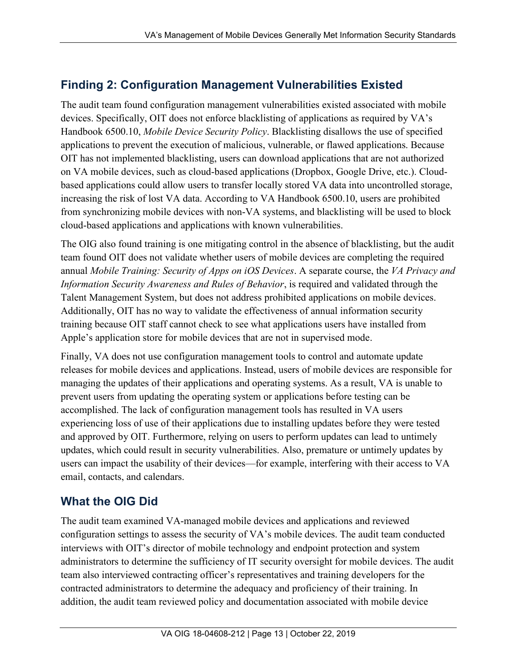## <span id="page-20-0"></span>**Finding 2: Configuration Management Vulnerabilities Existed**

The audit team found configuration management vulnerabilities existed associated with mobile devices. Specifically, OIT does not enforce blacklisting of applications as required by VA's Handbook 6500.10, *Mobile Device Security Policy*. Blacklisting disallows the use of specified applications to prevent the execution of malicious, vulnerable, or flawed applications. Because OIT has not implemented blacklisting, users can download applications that are not authorized on VA mobile devices, such as cloud-based applications (Dropbox, Google Drive, etc.). Cloudbased applications could allow users to transfer locally stored VA data into uncontrolled storage, increasing the risk of lost VA data. According to VA Handbook 6500.10, users are prohibited from synchronizing mobile devices with non-VA systems, and blacklisting will be used to block cloud-based applications and applications with known vulnerabilities.

The OIG also found training is one mitigating control in the absence of blacklisting, but the audit team found OIT does not validate whether users of mobile devices are completing the required annual *Mobile Training: Security of Apps on iOS Devices*. A separate course, the *VA Privacy and Information Security Awareness and Rules of Behavior*, is required and validated through the Talent Management System, but does not address prohibited applications on mobile devices. Additionally, OIT has no way to validate the effectiveness of annual information security training because OIT staff cannot check to see what applications users have installed from Apple's application store for mobile devices that are not in supervised mode.

Finally, VA does not use configuration management tools to control and automate update releases for mobile devices and applications. Instead, users of mobile devices are responsible for managing the updates of their applications and operating systems. As a result, VA is unable to prevent users from updating the operating system or applications before testing can be accomplished. The lack of configuration management tools has resulted in VA users experiencing loss of use of their applications due to installing updates before they were tested and approved by OIT. Furthermore, relying on users to perform updates can lead to untimely updates, which could result in security vulnerabilities. Also, premature or untimely updates by users can impact the usability of their devices—for example, interfering with their access to VA email, contacts, and calendars.

# **What the OIG Did**

The audit team examined VA-managed mobile devices and applications and reviewed configuration settings to assess the security of VA's mobile devices. The audit team conducted interviews with OIT's director of mobile technology and endpoint protection and system administrators to determine the sufficiency of IT security oversight for mobile devices. The audit team also interviewed contracting officer's representatives and training developers for the contracted administrators to determine the adequacy and proficiency of their training. In addition, the audit team reviewed policy and documentation associated with mobile device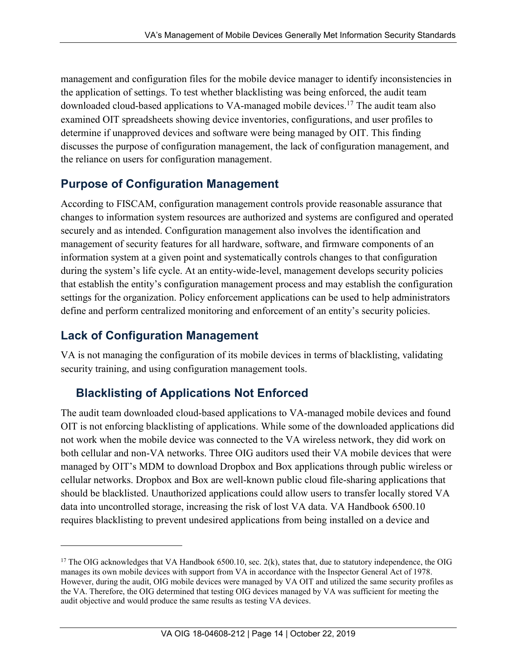management and configuration files for the mobile device manager to identify inconsistencies in the application of settings. To test whether blacklisting was being enforced, the audit team downloaded cloud-based applications to VA-managed mobile devices.<sup>[17](#page-21-0)</sup> The audit team also examined OIT spreadsheets showing device inventories, configurations, and user profiles to determine if unapproved devices and software were being managed by OIT. This finding discusses the purpose of configuration management, the lack of configuration management, and the reliance on users for configuration management.

#### **Purpose of Configuration Management**

According to FISCAM, configuration management controls provide reasonable assurance that changes to information system resources are authorized and systems are configured and operated securely and as intended. Configuration management also involves the identification and management of security features for all hardware, software, and firmware components of an information system at a given point and systematically controls changes to that configuration during the system's life cycle. At an entity-wide-level, management develops security policies that establish the entity's configuration management process and may establish the configuration settings for the organization. Policy enforcement applications can be used to help administrators define and perform centralized monitoring and enforcement of an entity's security policies.

#### **Lack of Configuration Management**

 $\overline{a}$ 

VA is not managing the configuration of its mobile devices in terms of blacklisting, validating security training, and using configuration management tools.

# **Blacklisting of Applications Not Enforced**

The audit team downloaded cloud-based applications to VA-managed mobile devices and found OIT is not enforcing blacklisting of applications. While some of the downloaded applications did not work when the mobile device was connected to the VA wireless network, they did work on both cellular and non-VA networks. Three OIG auditors used their VA mobile devices that were managed by OIT's MDM to download Dropbox and Box applications through public wireless or cellular networks. Dropbox and Box are well-known public cloud file-sharing applications that should be blacklisted. Unauthorized applications could allow users to transfer locally stored VA data into uncontrolled storage, increasing the risk of lost VA data. VA Handbook 6500.10 requires blacklisting to prevent undesired applications from being installed on a device and

<span id="page-21-0"></span> $17$  The OIG acknowledges that VA Handbook 6500.10, sec. 2(k), states that, due to statutory independence, the OIG manages its own mobile devices with support from VA in accordance with the Inspector General Act of 1978. However, during the audit, OIG mobile devices were managed by VA OIT and utilized the same security profiles as the VA. Therefore, the OIG determined that testing OIG devices managed by VA was sufficient for meeting the audit objective and would produce the same results as testing VA devices.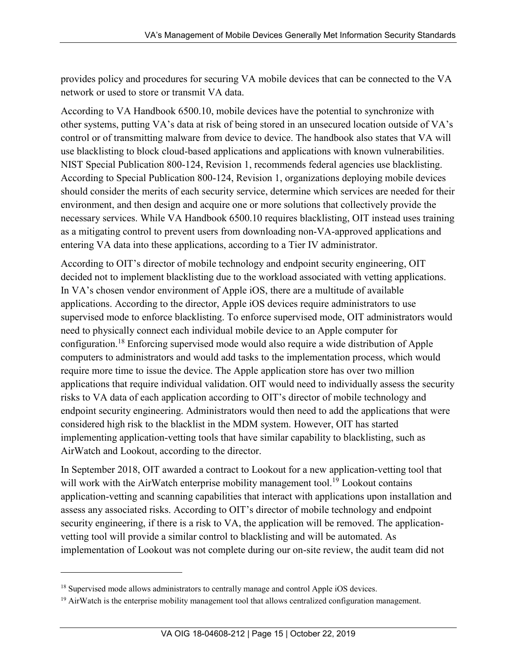provides policy and procedures for securing VA mobile devices that can be connected to the VA network or used to store or transmit VA data.

According to VA Handbook 6500.10, mobile devices have the potential to synchronize with other systems, putting VA's data at risk of being stored in an unsecured location outside of VA's control or of transmitting malware from device to device. The handbook also states that VA will use blacklisting to block cloud-based applications and applications with known vulnerabilities. NIST Special Publication 800-124, Revision 1, recommends federal agencies use blacklisting. According to Special Publication 800-124, Revision 1, organizations deploying mobile devices should consider the merits of each security service, determine which services are needed for their environment, and then design and acquire one or more solutions that collectively provide the necessary services. While VA Handbook 6500.10 requires blacklisting, OIT instead uses training as a mitigating control to prevent users from downloading non-VA-approved applications and entering VA data into these applications, according to a Tier IV administrator.

According to OIT's director of mobile technology and endpoint security engineering, OIT decided not to implement blacklisting due to the workload associated with vetting applications. In VA's chosen vendor environment of Apple iOS, there are a multitude of available applications. According to the director, Apple iOS devices require administrators to use supervised mode to enforce blacklisting. To enforce supervised mode, OIT administrators would need to physically connect each individual mobile device to an Apple computer for configuration.[18](#page-22-0) Enforcing supervised mode would also require a wide distribution of Apple computers to administrators and would add tasks to the implementation process, which would require more time to issue the device. The Apple application store has over two million applications that require individual validation. OIT would need to individually assess the security risks to VA data of each application according to OIT's director of mobile technology and endpoint security engineering. Administrators would then need to add the applications that were considered high risk to the blacklist in the MDM system. However, OIT has started implementing application-vetting tools that have similar capability to blacklisting, such as AirWatch and Lookout, according to the director.

In September 2018, OIT awarded a contract to Lookout for a new application-vetting tool that will work with the AirWatch enterprise mobility management tool.<sup>[19](#page-22-1)</sup> Lookout contains application-vetting and scanning capabilities that interact with applications upon installation and assess any associated risks. According to OIT's director of mobile technology and endpoint security engineering, if there is a risk to VA, the application will be removed. The applicationvetting tool will provide a similar control to blacklisting and will be automated. As implementation of Lookout was not complete during our on-site review, the audit team did not

 $\overline{a}$ 

<span id="page-22-0"></span><sup>&</sup>lt;sup>18</sup> Supervised mode allows administrators to centrally manage and control Apple iOS devices.

<span id="page-22-1"></span> $19$  AirWatch is the enterprise mobility management tool that allows centralized configuration management.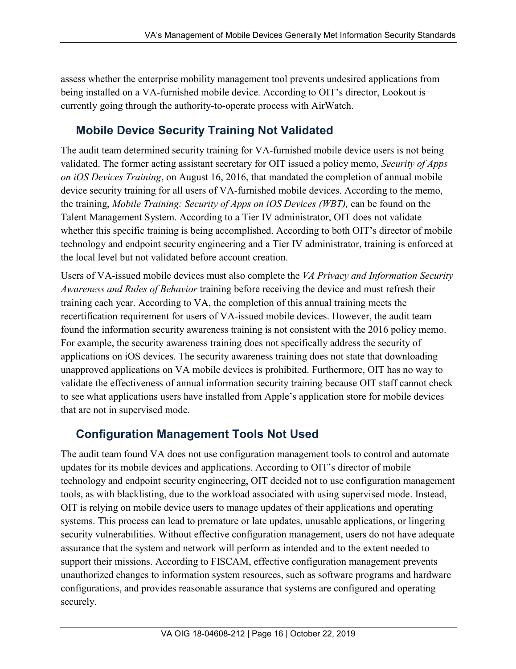assess whether the enterprise mobility management tool prevents undesired applications from being installed on a VA-furnished mobile device. According to OIT's director, Lookout is currently going through the authority-to-operate process with AirWatch.

# **Mobile Device Security Training Not Validated**

The audit team determined security training for VA-furnished mobile device users is not being validated. The former acting assistant secretary for OIT issued a policy memo, *Security of Apps on iOS Devices Training*, on August 16, 2016, that mandated the completion of annual mobile device security training for all users of VA-furnished mobile devices. According to the memo, the training, *Mobile Training: Security of Apps on iOS Devices (WBT),* can be found on the Talent Management System. According to a Tier IV administrator, OIT does not validate whether this specific training is being accomplished. According to both OIT's director of mobile technology and endpoint security engineering and a Tier IV administrator, training is enforced at the local level but not validated before account creation.

Users of VA-issued mobile devices must also complete the *VA Privacy and Information Security Awareness and Rules of Behavior* training before receiving the device and must refresh their training each year. According to VA, the completion of this annual training meets the recertification requirement for users of VA-issued mobile devices. However, the audit team found the information security awareness training is not consistent with the 2016 policy memo. For example, the security awareness training does not specifically address the security of applications on iOS devices. The security awareness training does not state that downloading unapproved applications on VA mobile devices is prohibited. Furthermore, OIT has no way to validate the effectiveness of annual information security training because OIT staff cannot check to see what applications users have installed from Apple's application store for mobile devices that are not in supervised mode.

# **Configuration Management Tools Not Used**

The audit team found VA does not use configuration management tools to control and automate updates for its mobile devices and applications. According to OIT's director of mobile technology and endpoint security engineering, OIT decided not to use configuration management tools, as with blacklisting, due to the workload associated with using supervised mode. Instead, OIT is relying on mobile device users to manage updates of their applications and operating systems. This process can lead to premature or late updates, unusable applications, or lingering security vulnerabilities. Without effective configuration management, users do not have adequate assurance that the system and network will perform as intended and to the extent needed to support their missions. According to FISCAM, effective configuration management prevents unauthorized changes to information system resources, such as software programs and hardware configurations, and provides reasonable assurance that systems are configured and operating securely.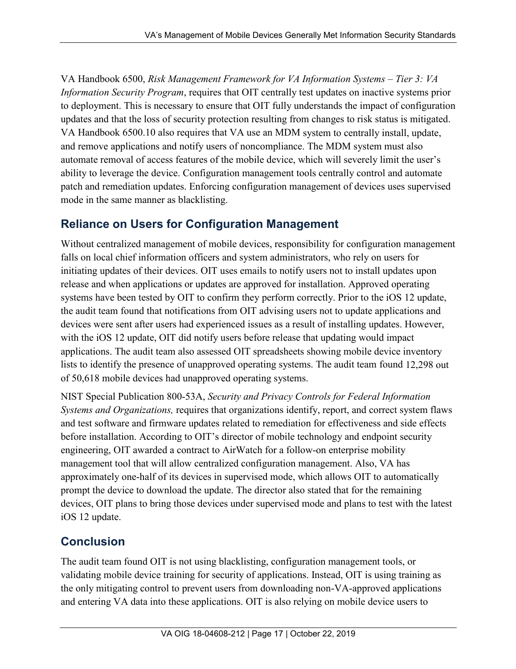VA Handbook 6500, *Risk Management Framework for VA Information Systems – Tier 3: VA Information Security Program*, requires that OIT centrally test updates on inactive systems prior to deployment. This is necessary to ensure that OIT fully understands the impact of configuration updates and that the loss of security protection resulting from changes to risk status is mitigated. VA Handbook 6500.10 also requires that VA use an MDM system to centrally install, update, and remove applications and notify users of noncompliance. The MDM system must also automate removal of access features of the mobile device, which will severely limit the user's ability to leverage the device. Configuration management tools centrally control and automate patch and remediation updates. Enforcing configuration management of devices uses supervised mode in the same manner as blacklisting.

#### **Reliance on Users for Configuration Management**

Without centralized management of mobile devices, responsibility for configuration management falls on local chief information officers and system administrators, who rely on users for initiating updates of their devices. OIT uses emails to notify users not to install updates upon release and when applications or updates are approved for installation. Approved operating systems have been tested by OIT to confirm they perform correctly. Prior to the iOS 12 update, the audit team found that notifications from OIT advising users not to update applications and devices were sent after users had experienced issues as a result of installing updates. However, with the iOS 12 update, OIT did notify users before release that updating would impact applications. The audit team also assessed OIT spreadsheets showing mobile device inventory lists to identify the presence of unapproved operating systems. The audit team found 12,298 out of 50,618 mobile devices had unapproved operating systems.

NIST Special Publication 800-53A, *Security and Privacy Controls for Federal Information Systems and Organizations,* requires that organizations identify, report, and correct system flaws and test software and firmware updates related to remediation for effectiveness and side effects before installation. According to OIT's director of mobile technology and endpoint security engineering, OIT awarded a contract to AirWatch for a follow-on enterprise mobility management tool that will allow centralized configuration management. Also, VA has approximately one-half of its devices in supervised mode, which allows OIT to automatically prompt the device to download the update. The director also stated that for the remaining devices, OIT plans to bring those devices under supervised mode and plans to test with the latest iOS 12 update.

#### **Conclusion**

The audit team found OIT is not using blacklisting, configuration management tools, or validating mobile device training for security of applications. Instead, OIT is using training as the only mitigating control to prevent users from downloading non-VA-approved applications and entering VA data into these applications. OIT is also relying on mobile device users to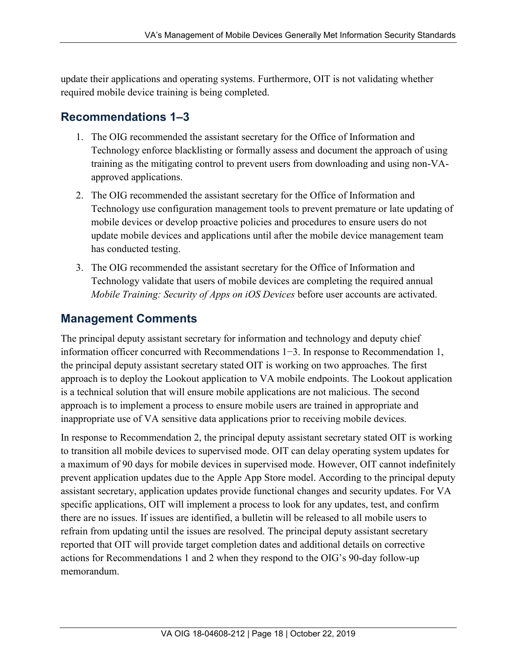update their applications and operating systems. Furthermore, OIT is not validating whether required mobile device training is being completed.

## <span id="page-25-0"></span>**Recommendations 1–3**

- 1. The OIG recommended the assistant secretary for the Office of Information and Technology enforce blacklisting or formally assess and document the approach of using training as the mitigating control to prevent users from downloading and using non-VAapproved applications.
- 2. The OIG recommended the assistant secretary for the Office of Information and Technology use configuration management tools to prevent premature or late updating of mobile devices or develop proactive policies and procedures to ensure users do not update mobile devices and applications until after the mobile device management team has conducted testing.
- 3. The OIG recommended the assistant secretary for the Office of Information and Technology validate that users of mobile devices are completing the required annual *Mobile Training: Security of Apps on iOS Devices* before user accounts are activated.

#### **Management Comments**

The principal deputy assistant secretary for information and technology and deputy chief information officer concurred with Recommendations 1−3. In response to Recommendation 1, the principal deputy assistant secretary stated OIT is working on two approaches. The first approach is to deploy the Lookout application to VA mobile endpoints. The Lookout application is a technical solution that will ensure mobile applications are not malicious. The second approach is to implement a process to ensure mobile users are trained in appropriate and inappropriate use of VA sensitive data applications prior to receiving mobile devices.

In response to Recommendation 2, the principal deputy assistant secretary stated OIT is working to transition all mobile devices to supervised mode. OIT can delay operating system updates for a maximum of 90 days for mobile devices in supervised mode. However, OIT cannot indefinitely prevent application updates due to the Apple App Store model. According to the principal deputy assistant secretary, application updates provide functional changes and security updates. For VA specific applications, OIT will implement a process to look for any updates, test, and confirm there are no issues. If issues are identified, a bulletin will be released to all mobile users to refrain from updating until the issues are resolved. The principal deputy assistant secretary reported that OIT will provide target completion dates and additional details on corrective actions for Recommendations 1 and 2 when they respond to the OIG's 90-day follow-up memorandum.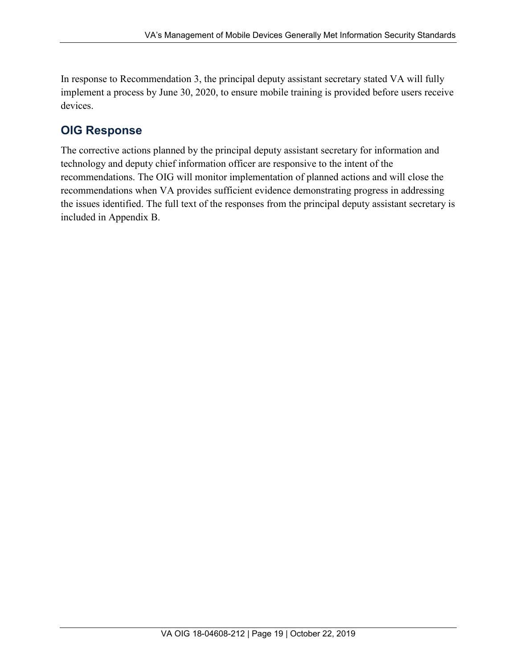In response to Recommendation 3, the principal deputy assistant secretary stated VA will fully implement a process by June 30, 2020, to ensure mobile training is provided before users receive devices.

#### **OIG Response**

The corrective actions planned by the principal deputy assistant secretary for information and technology and deputy chief information officer are responsive to the intent of the recommendations. The OIG will monitor implementation of planned actions and will close the recommendations when VA provides sufficient evidence demonstrating progress in addressing the issues identified. The full text of the responses from the principal deputy assistant secretary is included in Appendix B.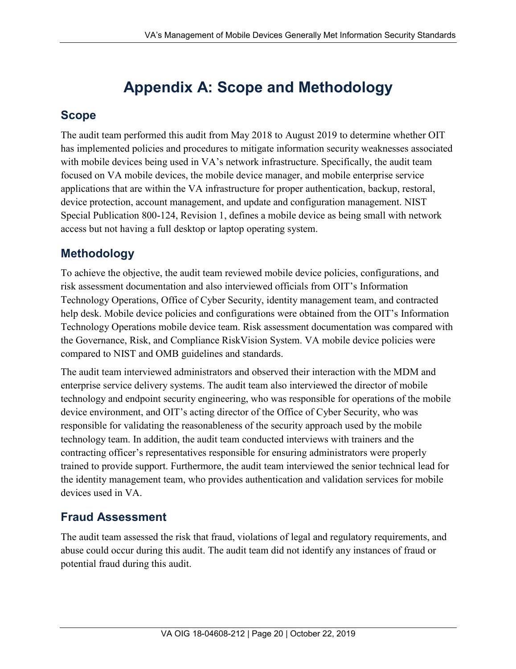# **Appendix A: Scope and Methodology**

# <span id="page-27-0"></span>**Scope**

The audit team performed this audit from May 2018 to August 2019 to determine whether OIT has implemented policies and procedures to mitigate information security weaknesses associated with mobile devices being used in VA's network infrastructure. Specifically, the audit team focused on VA mobile devices, the mobile device manager, and mobile enterprise service applications that are within the VA infrastructure for proper authentication, backup, restoral, device protection, account management, and update and configuration management. NIST Special Publication 800-124, Revision 1, defines a mobile device as being small with network access but not having a full desktop or laptop operating system.

# **Methodology**

To achieve the objective, the audit team reviewed mobile device policies, configurations, and risk assessment documentation and also interviewed officials from OIT's Information Technology Operations, Office of Cyber Security, identity management team, and contracted help desk. Mobile device policies and configurations were obtained from the OIT's Information Technology Operations mobile device team. Risk assessment documentation was compared with the Governance, Risk, and Compliance RiskVision System. VA mobile device policies were compared to NIST and OMB guidelines and standards.

The audit team interviewed administrators and observed their interaction with the MDM and enterprise service delivery systems. The audit team also interviewed the director of mobile technology and endpoint security engineering, who was responsible for operations of the mobile device environment, and OIT's acting director of the Office of Cyber Security, who was responsible for validating the reasonableness of the security approach used by the mobile technology team. In addition, the audit team conducted interviews with trainers and the contracting officer's representatives responsible for ensuring administrators were properly trained to provide support. Furthermore, the audit team interviewed the senior technical lead for the identity management team, who provides authentication and validation services for mobile devices used in VA.

# **Fraud Assessment**

The audit team assessed the risk that fraud, violations of legal and regulatory requirements, and abuse could occur during this audit. The audit team did not identify any instances of fraud or potential fraud during this audit.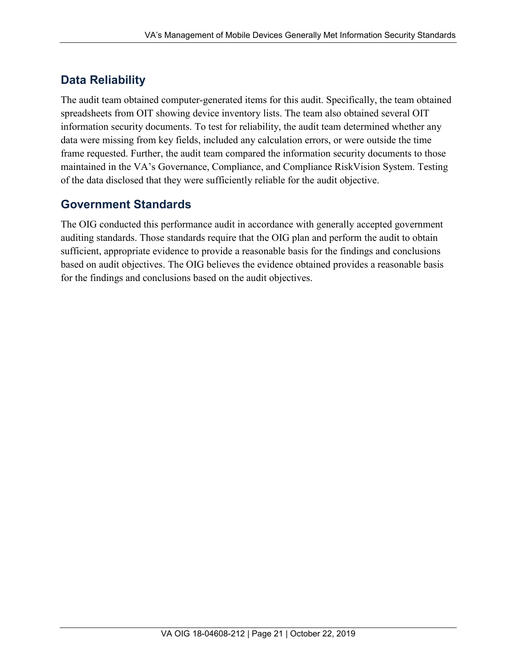# **Data Reliability**

The audit team obtained computer-generated items for this audit. Specifically, the team obtained spreadsheets from OIT showing device inventory lists. The team also obtained several OIT information security documents. To test for reliability, the audit team determined whether any data were missing from key fields, included any calculation errors, or were outside the time frame requested. Further, the audit team compared the information security documents to those maintained in the VA's Governance, Compliance, and Compliance RiskVision System. Testing of the data disclosed that they were sufficiently reliable for the audit objective.

## **Government Standards**

The OIG conducted this performance audit in accordance with generally accepted government auditing standards. Those standards require that the OIG plan and perform the audit to obtain sufficient, appropriate evidence to provide a reasonable basis for the findings and conclusions based on audit objectives. The OIG believes the evidence obtained provides a reasonable basis for the findings and conclusions based on the audit objectives.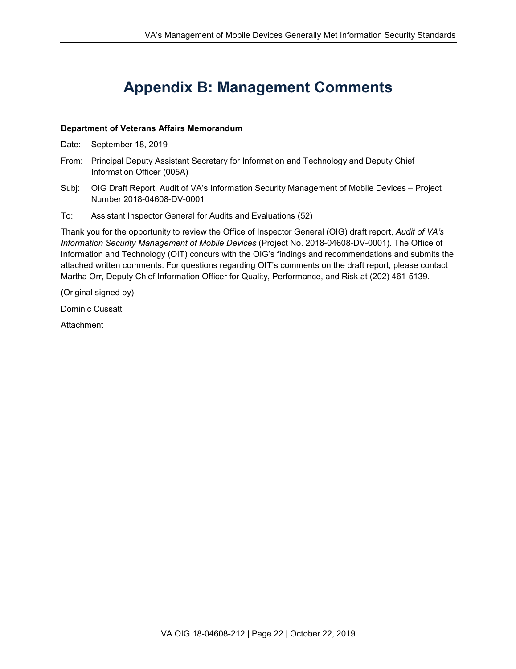# **Appendix B: Management Comments**

#### <span id="page-29-0"></span>**Department of Veterans Affairs Memorandum**

- Date: September 18, 2019
- From: Principal Deputy Assistant Secretary for Information and Technology and Deputy Chief Information Officer (005A)
- Subj: OIG Draft Report, Audit of VA's Information Security Management of Mobile Devices Project Number 2018-04608-DV-0001
- To: Assistant Inspector General for Audits and Evaluations (52)

Thank you for the opportunity to review the Office of Inspector General (OIG) draft report, *Audit of VA's Information Security Management of Mobile Devices* (Project No. 2018-04608-DV-0001). The Office of Information and Technology (OIT) concurs with the OIG's findings and recommendations and submits the attached written comments. For questions regarding OIT's comments on the draft report, please contact Martha Orr, Deputy Chief Information Officer for Quality, Performance, and Risk at (202) 461-5139.

(Original signed by)

Dominic Cussatt

**Attachment**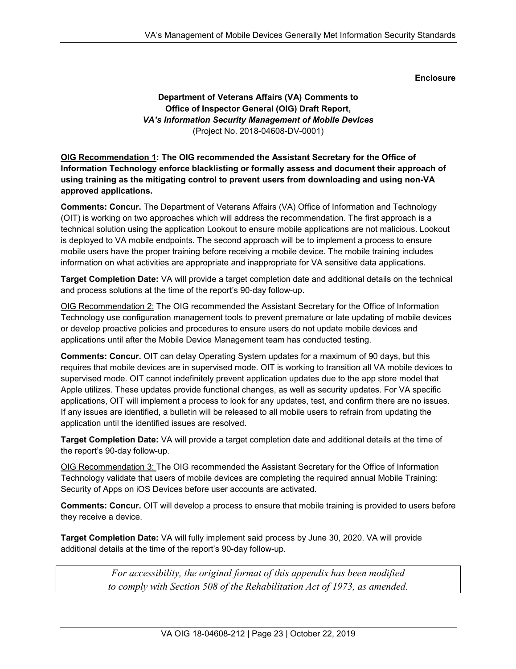#### **Enclosure**

#### **Department of Veterans Affairs (VA) Comments to Office of Inspector General (OIG) Draft Report,** *VA's Information Security Management of Mobile Devices* (Project No. 2018-04608-DV-0001)

#### **OIG Recommendation 1: The OIG recommended the Assistant Secretary for the Office of Information Technology enforce blacklisting or formally assess and document their approach of using training as the mitigating control to prevent users from downloading and using non-VA approved applications.**

**Comments: Concur.** The Department of Veterans Affairs (VA) Office of Information and Technology (OIT) is working on two approaches which will address the recommendation. The first approach is a technical solution using the application Lookout to ensure mobile applications are not malicious. Lookout is deployed to VA mobile endpoints. The second approach will be to implement a process to ensure mobile users have the proper training before receiving a mobile device. The mobile training includes information on what activities are appropriate and inappropriate for VA sensitive data applications.

**Target Completion Date:** VA will provide a target completion date and additional details on the technical and process solutions at the time of the report's 90-day follow-up.

OIG Recommendation 2: The OIG recommended the Assistant Secretary for the Office of Information Technology use configuration management tools to prevent premature or late updating of mobile devices or develop proactive policies and procedures to ensure users do not update mobile devices and applications until after the Mobile Device Management team has conducted testing.

**Comments: Concur.** OIT can delay Operating System updates for a maximum of 90 days, but this requires that mobile devices are in supervised mode. OIT is working to transition all VA mobile devices to supervised mode. OIT cannot indefinitely prevent application updates due to the app store model that Apple utilizes. These updates provide functional changes, as well as security updates. For VA specific applications, OIT will implement a process to look for any updates, test, and confirm there are no issues. If any issues are identified, a bulletin will be released to all mobile users to refrain from updating the application until the identified issues are resolved.

**Target Completion Date:** VA will provide a target completion date and additional details at the time of the report's 90-day follow-up.

OIG Recommendation 3: The OIG recommended the Assistant Secretary for the Office of Information Technology validate that users of mobile devices are completing the required annual Mobile Training: Security of Apps on iOS Devices before user accounts are activated.

**Comments: Concur.** OIT will develop a process to ensure that mobile training is provided to users before they receive a device.

**Target Completion Date:** VA will fully implement said process by June 30, 2020. VA will provide additional details at the time of the report's 90-day follow-up.

> *For accessibility, the original format of this appendix has been modified to comply with Section 508 of the Rehabilitation Act of 1973, as amended.*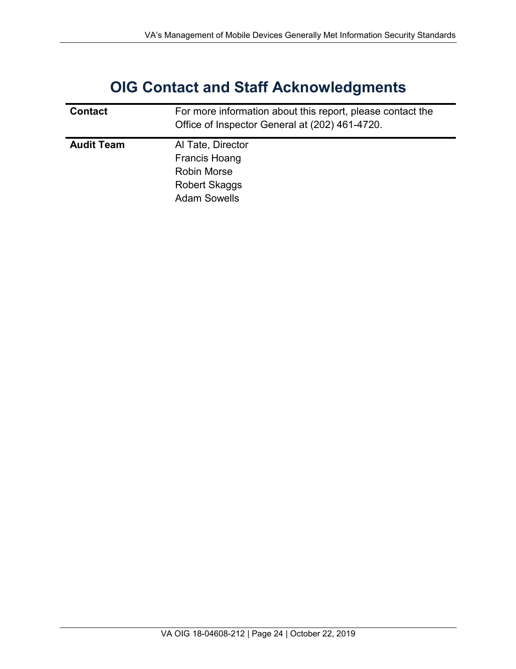# **OIG Contact and Staff Acknowledgments**

<span id="page-31-0"></span>

| <b>Contact</b>    | For more information about this report, please contact the<br>Office of Inspector General at (202) 461-4720. |
|-------------------|--------------------------------------------------------------------------------------------------------------|
| <b>Audit Team</b> | Al Tate, Director<br>Francis Hoang<br><b>Robin Morse</b><br><b>Robert Skaggs</b><br><b>Adam Sowells</b>      |